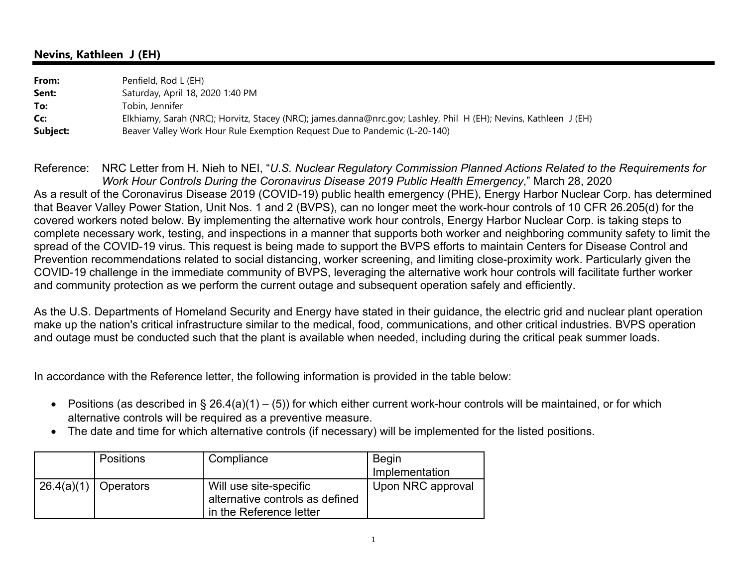## **Nevins, Kathleen J (EH)**

| From:    | Penfield, Rod L (EH)                                                                                             |
|----------|------------------------------------------------------------------------------------------------------------------|
| Sent:    | Saturday, April 18, 2020 1:40 PM                                                                                 |
| To:      | Tobin, Jennifer                                                                                                  |
| Cc:      | Elkhiamy, Sarah (NRC); Horvitz, Stacey (NRC); james.danna@nrc.gov; Lashley, Phil H (EH); Nevins, Kathleen J (EH) |
| Subject: | Beaver Valley Work Hour Rule Exemption Request Due to Pandemic (L-20-140)                                        |

Reference: NRC Letter from H. Nieh to NEI, "*U.S. Nuclear Regulatory Commission Planned Actions Related to the Requirements for Work Hour Controls During the Coronavirus Disease 2019 Public Health Emergency*," March 28, 2020 As a result of the Coronavirus Disease 2019 (COVID-19) public health emergency (PHE), Energy Harbor Nuclear Corp. has determined that Beaver Valley Power Station, Unit Nos. 1 and 2 (BVPS), can no longer meet the work-hour controls of 10 CFR 26.205(d) for the covered workers noted below. By implementing the alternative work hour controls, Energy Harbor Nuclear Corp. is taking steps to complete necessary work, testing, and inspections in a manner that supports both worker and neighboring community safety to limit the spread of the COVID-19 virus. This request is being made to support the BVPS efforts to maintain Centers for Disease Control and Prevention recommendations related to social distancing, worker screening, and limiting close-proximity work. Particularly given the COVID-19 challenge in the immediate community of BVPS, leveraging the alternative work hour controls will facilitate further worker and community protection as we perform the current outage and subsequent operation safely and efficiently.

As the U.S. Departments of Homeland Security and Energy have stated in their guidance, the electric grid and nuclear plant operation make up the nation's critical infrastructure similar to the medical, food, communications, and other critical industries. BVPS operation and outage must be conducted such that the plant is available when needed, including during the critical peak summer loads.

In accordance with the Reference letter, the following information is provided in the table below:

- Positions (as described in § 26.4(a)(1) (5)) for which either current work-hour controls will be maintained, or for which alternative controls will be required as a preventive measure.
- The date and time for which alternative controls (if necessary) will be implemented for the listed positions.

| <b>Positions</b>       | Compliance                                                                           | <b>Begin</b><br>Implementation |
|------------------------|--------------------------------------------------------------------------------------|--------------------------------|
| $26.4(a)(1)$ Operators | Will use site-specific<br>alternative controls as defined<br>in the Reference letter | Upon NRC approval              |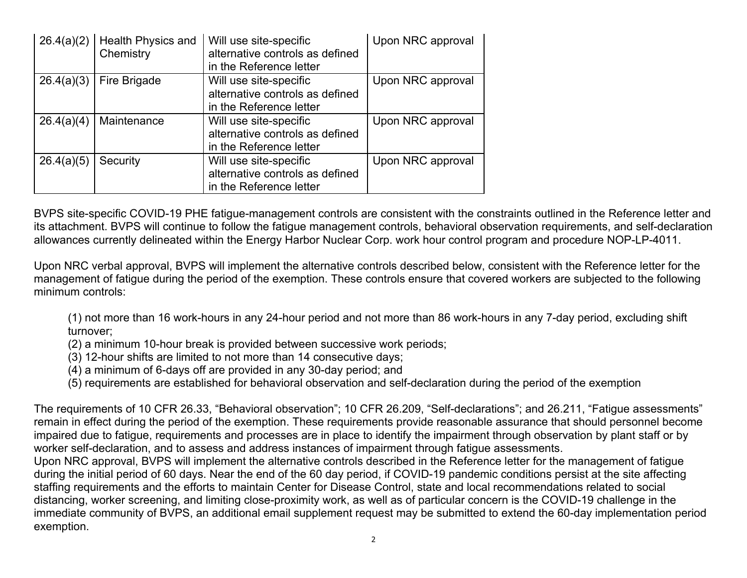| 26.4(a)(2) | Health Physics and<br>Chemistry | Will use site-specific<br>alternative controls as defined<br>in the Reference letter | Upon NRC approval |
|------------|---------------------------------|--------------------------------------------------------------------------------------|-------------------|
| 26.4(a)(3) | Fire Brigade                    | Will use site-specific<br>alternative controls as defined<br>in the Reference letter | Upon NRC approval |
| 26.4(a)(4) | Maintenance                     | Will use site-specific<br>alternative controls as defined<br>in the Reference letter | Upon NRC approval |
| 26.4(a)(5) | Security                        | Will use site-specific<br>alternative controls as defined<br>in the Reference letter | Upon NRC approval |

BVPS site-specific COVID-19 PHE fatigue-management controls are consistent with the constraints outlined in the Reference letter and its attachment. BVPS will continue to follow the fatigue management controls, behavioral observation requirements, and self-declaration allowances currently delineated within the Energy Harbor Nuclear Corp. work hour control program and procedure NOP-LP-4011.

Upon NRC verbal approval, BVPS will implement the alternative controls described below, consistent with the Reference letter for the management of fatigue during the period of the exemption. These controls ensure that covered workers are subjected to the following minimum controls:

(1) not more than 16 work-hours in any 24-hour period and not more than 86 work-hours in any 7-day period, excluding shift turnover;

(2) a minimum 10-hour break is provided between successive work periods;

(3) 12-hour shifts are limited to not more than 14 consecutive days;

(4) a minimum of 6-days off are provided in any 30-day period; and

(5) requirements are established for behavioral observation and self-declaration during the period of the exemption

The requirements of 10 CFR 26.33, "Behavioral observation"; 10 CFR 26.209, "Self-declarations"; and 26.211, "Fatigue assessments" remain in effect during the period of the exemption. These requirements provide reasonable assurance that should personnel become impaired due to fatigue, requirements and processes are in place to identify the impairment through observation by plant staff or by worker self-declaration, and to assess and address instances of impairment through fatigue assessments.

Upon NRC approval, BVPS will implement the alternative controls described in the Reference letter for the management of fatigue during the initial period of 60 days. Near the end of the 60 day period, if COVID-19 pandemic conditions persist at the site affecting staffing requirements and the efforts to maintain Center for Disease Control, state and local recommendations related to social distancing, worker screening, and limiting close-proximity work, as well as of particular concern is the COVID-19 challenge in the immediate community of BVPS, an additional email supplement request may be submitted to extend the 60-day implementation period exemption.